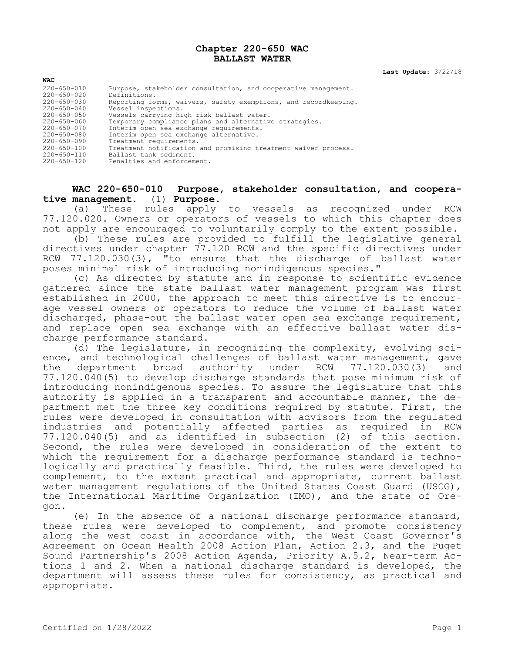#### **Chapter 220-650 WAC BALLAST WATER**

**Last Update:** 3/22/18

| <b>WAC</b>        |                                                                 |
|-------------------|-----------------------------------------------------------------|
| 220-650-010       | Purpose, stakeholder consultation, and cooperative management.  |
| $220 - 650 - 020$ | Definitions.                                                    |
| $220 - 650 - 030$ | Reporting forms, waivers, safety exemptions, and recordkeeping. |
| $220 - 650 - 040$ | Vessel inspections.                                             |
| $220 - 650 - 050$ | Vessels carrying high risk ballast water.                       |
| $220 - 650 - 060$ | Temporary compliance plans and alternative strategies.          |
| $220 - 650 - 070$ | Interim open sea exchange requirements.                         |
| $220 - 650 - 080$ | Interim open sea exchange alternative.                          |
| $220 - 650 - 090$ | Treatment requirements.                                         |
| $220 - 650 - 100$ | Treatment notification and promising treatment waiver process.  |
| $220 - 650 - 110$ | Ballast tank sediment.                                          |
| $220 - 650 - 120$ | Penalties and enforcement.                                      |

# **WAC 220-650-010 Purpose, stakeholder consultation, and cooperative management.** (1) **Purpose.**

(a) These rules apply to vessels as recognized under RCW 77.120.020. Owners or operators of vessels to which this chapter does not apply are encouraged to voluntarily comply to the extent possible.

(b) These rules are provided to fulfill the legislative general directives under chapter 77.120 RCW and the specific directives under RCW 77.120.030(3), "to ensure that the discharge of ballast water poses minimal risk of introducing nonindigenous species."

(c) As directed by statute and in response to scientific evidence gathered since the state ballast water management program was first established in 2000, the approach to meet this directive is to encourage vessel owners or operators to reduce the volume of ballast water discharged, phase-out the ballast water open sea exchange requirement, and replace open sea exchange with an effective ballast water discharge performance standard.

(d) The legislature, in recognizing the complexity, evolving science, and technological challenges of ballast water management, gave<br>the department broad authority under RCW 77.120.030(3) and the department broad authority under RCW 77.120.030(3) and 77.120.040(5) to develop discharge standards that pose minimum risk of introducing nonindigenous species. To assure the legislature that this authority is applied in a transparent and accountable manner, the department met the three key conditions required by statute. First, the rules were developed in consultation with advisors from the regulated industries and potentially affected parties as required in RCW 77.120.040(5) and as identified in subsection (2) of this section. Second, the rules were developed in consideration of the extent to which the requirement for a discharge performance standard is technologically and practically feasible. Third, the rules were developed to complement, to the extent practical and appropriate, current ballast water management regulations of the United States Coast Guard (USCG), the International Maritime Organization (IMO), and the state of Oregon.

(e) In the absence of a national discharge performance standard, these rules were developed to complement, and promote consistency along the west coast in accordance with, the West Coast Governor's Agreement on Ocean Health 2008 Action Plan, Action 2.3, and the Puget Sound Partnership's 2008 Action Agenda, Priority A.5.2, Near-term Actions 1 and 2. When a national discharge standard is developed, the department will assess these rules for consistency, as practical and appropriate.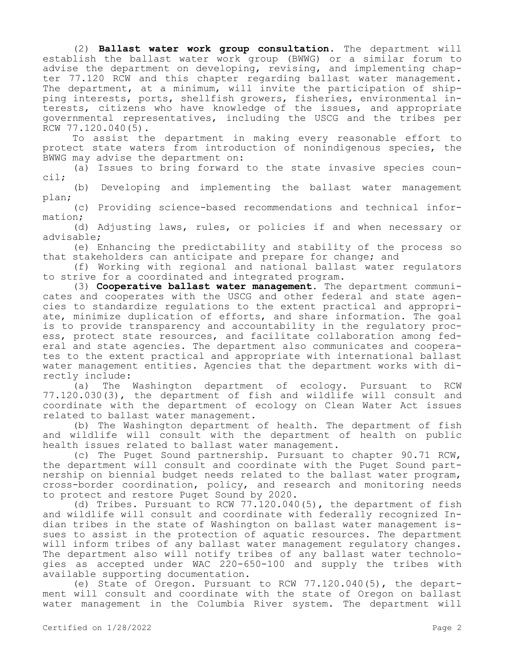(2) **Ballast water work group consultation.** The department will establish the ballast water work group (BWWG) or a similar forum to advise the department on developing, revising, and implementing chapter 77.120 RCW and this chapter regarding ballast water management. The department, at a minimum, will invite the participation of shipping interests, ports, shellfish growers, fisheries, environmental interests, citizens who have knowledge of the issues, and appropriate governmental representatives, including the USCG and the tribes per RCW 77.120.040(5).

To assist the department in making every reasonable effort to protect state waters from introduction of nonindigenous species, the BWWG may advise the department on:

(a) Issues to bring forward to the state invasive species council;

(b) Developing and implementing the ballast water management plan;

(c) Providing science-based recommendations and technical information;

(d) Adjusting laws, rules, or policies if and when necessary or advisable;

(e) Enhancing the predictability and stability of the process so that stakeholders can anticipate and prepare for change; and

(f) Working with regional and national ballast water regulators to strive for a coordinated and integrated program.

(3) **Cooperative ballast water management.** The department communicates and cooperates with the USCG and other federal and state agencies to standardize regulations to the extent practical and appropriate, minimize duplication of efforts, and share information. The goal is to provide transparency and accountability in the regulatory process, protect state resources, and facilitate collaboration among federal and state agencies. The department also communicates and cooperates to the extent practical and appropriate with international ballast water management entities. Agencies that the department works with directly include:

(a) The Washington department of ecology. Pursuant to RCW 77.120.030(3), the department of fish and wildlife will consult and coordinate with the department of ecology on Clean Water Act issues related to ballast water management.

(b) The Washington department of health. The department of fish and wildlife will consult with the department of health on public health issues related to ballast water management.

(c) The Puget Sound partnership. Pursuant to chapter 90.71 RCW, the department will consult and coordinate with the Puget Sound partnership on biennial budget needs related to the ballast water program, cross-border coordination, policy, and research and monitoring needs to protect and restore Puget Sound by 2020.

(d) Tribes. Pursuant to RCW 77.120.040(5), the department of fish and wildlife will consult and coordinate with federally recognized Indian tribes in the state of Washington on ballast water management issues to assist in the protection of aquatic resources. The department will inform tribes of any ballast water management regulatory changes. The department also will notify tribes of any ballast water technologies as accepted under WAC 220-650-100 and supply the tribes with available supporting documentation.

(e) State of Oregon. Pursuant to RCW 77.120.040(5), the department will consult and coordinate with the state of Oregon on ballast water management in the Columbia River system. The department will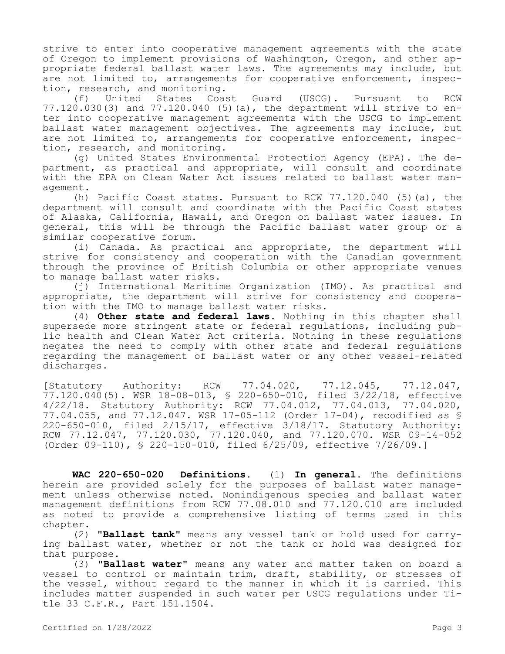strive to enter into cooperative management agreements with the state of Oregon to implement provisions of Washington, Oregon, and other appropriate federal ballast water laws. The agreements may include, but are not limited to, arrangements for cooperative enforcement, inspection, research, and monitoring.

(f) United States Coast Guard (USCG). Pursuant to RCW 77.120.030(3) and 77.120.040 (5)(a), the department will strive to enter into cooperative management agreements with the USCG to implement ballast water management objectives. The agreements may include, but are not limited to, arrangements for cooperative enforcement, inspection, research, and monitoring.

(g) United States Environmental Protection Agency (EPA). The department, as practical and appropriate, will consult and coordinate with the EPA on Clean Water Act issues related to ballast water management.

(h) Pacific Coast states. Pursuant to RCW  $77.120.040$  (5)(a), the department will consult and coordinate with the Pacific Coast states of Alaska, California, Hawaii, and Oregon on ballast water issues. In general, this will be through the Pacific ballast water group or a similar cooperative forum.

(i) Canada. As practical and appropriate, the department will strive for consistency and cooperation with the Canadian government through the province of British Columbia or other appropriate venues to manage ballast water risks.

(j) International Maritime Organization (IMO). As practical and appropriate, the department will strive for consistency and cooperation with the IMO to manage ballast water risks.

(4) **Other state and federal laws.** Nothing in this chapter shall supersede more stringent state or federal regulations, including public health and Clean Water Act criteria. Nothing in these regulations negates the need to comply with other state and federal regulations regarding the management of ballast water or any other vessel-related discharges.

[Statutory Authority: RCW 77.04.020, 77.12.045, 77.12.047, 77.120.040(5). WSR 18-08-013, § 220-650-010, filed 3/22/18, effective 4/22/18. Statutory Authority: RCW 77.04.012, 77.04.013, 77.04.020, 77.04.055, and 77.12.047. WSR 17-05-112 (Order 17-04), recodified as § 220-650-010, filed 2/15/17, effective 3/18/17. Statutory Authority: RCW 77.12.047, 77.120.030, 77.120.040, and 77.120.070. WSR 09-14-052 (Order 09-110), § 220-150-010, filed 6/25/09, effective 7/26/09.]

**WAC 220-650-020 Definitions.** (1) **In general.** The definitions herein are provided solely for the purposes of ballast water management unless otherwise noted. Nonindigenous species and ballast water management definitions from RCW 77.08.010 and 77.120.010 are included as noted to provide a comprehensive listing of terms used in this chapter.

(2) **"Ballast tank"** means any vessel tank or hold used for carrying ballast water, whether or not the tank or hold was designed for that purpose.

(3) **"Ballast water"** means any water and matter taken on board a vessel to control or maintain trim, draft, stability, or stresses of the vessel, without regard to the manner in which it is carried. This includes matter suspended in such water per USCG regulations under Title 33 C.F.R., Part 151.1504.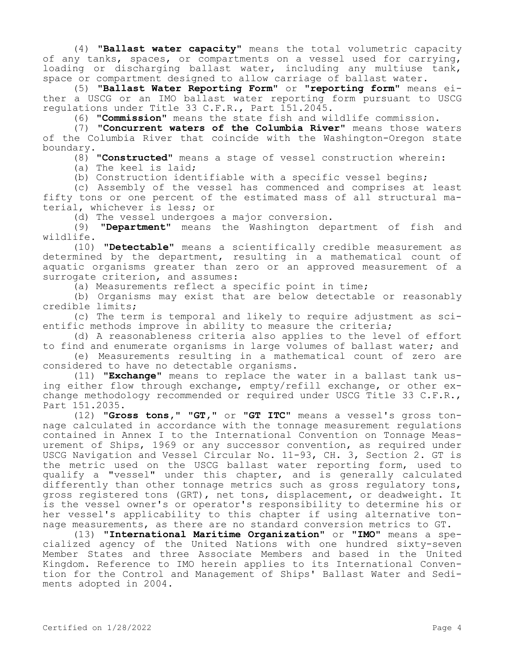(4) **"Ballast water capacity"** means the total volumetric capacity of any tanks, spaces, or compartments on a vessel used for carrying, loading or discharging ballast water, including any multiuse tank, space or compartment designed to allow carriage of ballast water.

(5) **"Ballast Water Reporting Form"** or **"reporting form"** means either a USCG or an IMO ballast water reporting form pursuant to USCG regulations under Title 33 C.F.R., Part 151.2045.

(6) **"Commission"** means the state fish and wildlife commission.

(7) **"Concurrent waters of the Columbia River"** means those waters of the Columbia River that coincide with the Washington-Oregon state boundary.

(8) **"Constructed"** means a stage of vessel construction wherein:

(a) The keel is laid;

(b) Construction identifiable with a specific vessel begins;

(c) Assembly of the vessel has commenced and comprises at least fifty tons or one percent of the estimated mass of all structural material, whichever is less; or

(d) The vessel undergoes a major conversion.

(9) **"Department"** means the Washington department of fish and wildlife.

(10) **"Detectable"** means a scientifically credible measurement as determined by the department, resulting in a mathematical count of aquatic organisms greater than zero or an approved measurement of a surrogate criterion, and assumes:

(a) Measurements reflect a specific point in time;

(b) Organisms may exist that are below detectable or reasonably credible limits;

(c) The term is temporal and likely to require adjustment as scientific methods improve in ability to measure the criteria;

(d) A reasonableness criteria also applies to the level of effort to find and enumerate organisms in large volumes of ballast water; and

(e) Measurements resulting in a mathematical count of zero are considered to have no detectable organisms.

(11) **"Exchange"** means to replace the water in a ballast tank using either flow through exchange, empty/refill exchange, or other exchange methodology recommended or required under USCG Title 33 C.F.R., Part 151.2035.

(12) **"Gross tons," "GT,"** or **"GT ITC"** means a vessel's gross tonnage calculated in accordance with the tonnage measurement regulations contained in Annex I to the International Convention on Tonnage Measurement of Ships, 1969 or any successor convention, as required under USCG Navigation and Vessel Circular No. 11-93, CH. 3, Section 2. GT is the metric used on the USCG ballast water reporting form, used to qualify a "vessel" under this chapter, and is generally calculated differently than other tonnage metrics such as gross regulatory tons, gross registered tons (GRT), net tons, displacement, or deadweight. It is the vessel owner's or operator's responsibility to determine his or her vessel's applicability to this chapter if using alternative tonnage measurements, as there are no standard conversion metrics to GT.

(13) **"International Maritime Organization"** or **"IMO"** means a specialized agency of the United Nations with one hundred sixty-seven Member States and three Associate Members and based in the United Kingdom. Reference to IMO herein applies to its International Convention for the Control and Management of Ships' Ballast Water and Sediments adopted in 2004.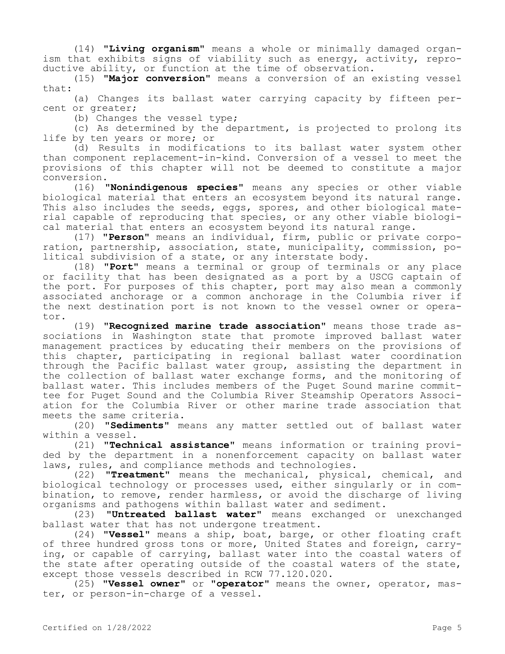(14) **"Living organism"** means a whole or minimally damaged organism that exhibits signs of viability such as energy, activity, reproductive ability, or function at the time of observation.

(15) **"Major conversion"** means a conversion of an existing vessel that:

(a) Changes its ballast water carrying capacity by fifteen percent or greater;

(b) Changes the vessel type;

(c) As determined by the department, is projected to prolong its life by ten years or more; or

(d) Results in modifications to its ballast water system other than component replacement-in-kind. Conversion of a vessel to meet the provisions of this chapter will not be deemed to constitute a major conversion.

(16) **"Nonindigenous species"** means any species or other viable biological material that enters an ecosystem beyond its natural range. This also includes the seeds, eggs, spores, and other biological material capable of reproducing that species, or any other viable biological material that enters an ecosystem beyond its natural range.

(17) **"Person"** means an individual, firm, public or private corporation, partnership, association, state, municipality, commission, political subdivision of a state, or any interstate body.

(18) **"Port"** means a terminal or group of terminals or any place or facility that has been designated as a port by a USCG captain of the port. For purposes of this chapter, port may also mean a commonly associated anchorage or a common anchorage in the Columbia river if the next destination port is not known to the vessel owner or operator.

(19) **"Recognized marine trade association"** means those trade associations in Washington state that promote improved ballast water management practices by educating their members on the provisions of this chapter, participating in regional ballast water coordination through the Pacific ballast water group, assisting the department in the collection of ballast water exchange forms, and the monitoring of ballast water. This includes members of the Puget Sound marine committee for Puget Sound and the Columbia River Steamship Operators Association for the Columbia River or other marine trade association that meets the same criteria.

(20) **"Sediments"** means any matter settled out of ballast water within a vessel.

(21) **"Technical assistance"** means information or training provided by the department in a nonenforcement capacity on ballast water laws, rules, and compliance methods and technologies.

(22) **"Treatment"** means the mechanical, physical, chemical, and biological technology or processes used, either singularly or in combination, to remove, render harmless, or avoid the discharge of living organisms and pathogens within ballast water and sediment.

(23) **"Untreated ballast water"** means exchanged or unexchanged ballast water that has not undergone treatment.

(24) **"Vessel"** means a ship, boat, barge, or other floating craft of three hundred gross tons or more, United States and foreign, carrying, or capable of carrying, ballast water into the coastal waters of the state after operating outside of the coastal waters of the state, except those vessels described in RCW 77.120.020.

(25) **"Vessel owner"** or **"operator"** means the owner, operator, master, or person-in-charge of a vessel.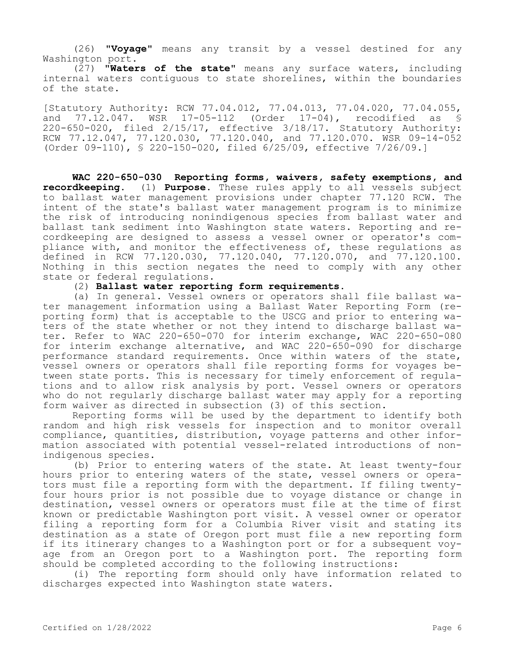(26) **"Voyage"** means any transit by a vessel destined for any Washington port.

(27) **"Waters of the state"** means any surface waters, including internal waters contiguous to state shorelines, within the boundaries of the state.

[Statutory Authority: RCW 77.04.012, 77.04.013, 77.04.020, 77.04.055,<br>and 77.12.047. WSR 17-05-112 (Order 17-04), recodified as \$ and 77.12.047. WSR 17-05-112 (Order 17-04), recodified as § 220-650-020, filed 2/15/17, effective 3/18/17. Statutory Authority: RCW 77.12.047, 77.120.030, 77.120.040, and 77.120.070. WSR 09-14-052 (Order 09-110), § 220-150-020, filed 6/25/09, effective 7/26/09.]

**WAC 220-650-030 Reporting forms, waivers, safety exemptions, and recordkeeping.** (1) **Purpose.** These rules apply to all vessels subject to ballast water management provisions under chapter 77.120 RCW. The intent of the state's ballast water management program is to minimize the risk of introducing nonindigenous species from ballast water and ballast tank sediment into Washington state waters. Reporting and recordkeeping are designed to assess a vessel owner or operator's compliance with, and monitor the effectiveness of, these regulations as defined in RCW 77.120.030, 77.120.040, 77.120.070, and 77.120.100. Nothing in this section negates the need to comply with any other state or federal regulations.

(2) **Ballast water reporting form requirements.**

(a) In general. Vessel owners or operators shall file ballast water management information using a Ballast Water Reporting Form (reporting form) that is acceptable to the USCG and prior to entering waters of the state whether or not they intend to discharge ballast water. Refer to WAC 220-650-070 for interim exchange, WAC 220-650-080 for interim exchange alternative, and WAC 220-650-090 for discharge performance standard requirements. Once within waters of the state, vessel owners or operators shall file reporting forms for voyages between state ports. This is necessary for timely enforcement of regulations and to allow risk analysis by port. Vessel owners or operators who do not reqularly discharge ballast water may apply for a reporting form waiver as directed in subsection (3) of this section.

Reporting forms will be used by the department to identify both random and high risk vessels for inspection and to monitor overall compliance, quantities, distribution, voyage patterns and other information associated with potential vessel-related introductions of nonindigenous species.

(b) Prior to entering waters of the state. At least twenty-four hours prior to entering waters of the state, vessel owners or operators must file a reporting form with the department. If filing twentyfour hours prior is not possible due to voyage distance or change in destination, vessel owners or operators must file at the time of first known or predictable Washington port visit. A vessel owner or operator filing a reporting form for a Columbia River visit and stating its destination as a state of Oregon port must file a new reporting form if its itinerary changes to a Washington port or for a subsequent voyage from an Oregon port to a Washington port. The reporting form should be completed according to the following instructions:

(i) The reporting form should only have information related to discharges expected into Washington state waters.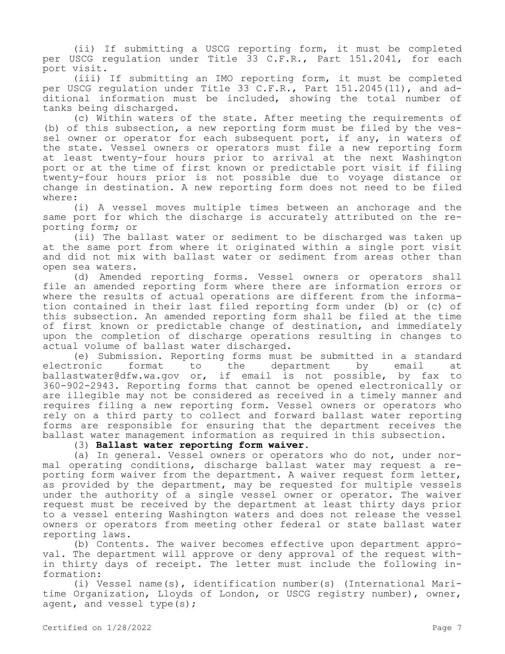(ii) If submitting a USCG reporting form, it must be completed per USCG regulation under Title 33 C.F.R., Part 151.2041, for each port visit.

(iii) If submitting an IMO reporting form, it must be completed per USCG regulation under Title 33 C.F.R., Part 151.2045(11), and additional information must be included, showing the total number of tanks being discharged.

(c) Within waters of the state. After meeting the requirements of (b) of this subsection, a new reporting form must be filed by the vessel owner or operator for each subsequent port, if any, in waters of the state. Vessel owners or operators must file a new reporting form at least twenty-four hours prior to arrival at the next Washington port or at the time of first known or predictable port visit if filing twenty-four hours prior is not possible due to voyage distance or change in destination. A new reporting form does not need to be filed where:

(i) A vessel moves multiple times between an anchorage and the same port for which the discharge is accurately attributed on the reporting form; or

(ii) The ballast water or sediment to be discharged was taken up at the same port from where it originated within a single port visit and did not mix with ballast water or sediment from areas other than open sea waters.

(d) Amended reporting forms. Vessel owners or operators shall file an amended reporting form where there are information errors or where the results of actual operations are different from the information contained in their last filed reporting form under (b) or (c) of this subsection. An amended reporting form shall be filed at the time of first known or predictable change of destination, and immediately upon the completion of discharge operations resulting in changes to actual volume of ballast water discharged.

(e) Submission. Reporting forms must be submitted in a standard<br>ronic iformat to the department by email at electronic format to the department by email at ballastwater@dfw.wa.gov or, if email is not possible, by fax to 360-902-2943. Reporting forms that cannot be opened electronically or are illegible may not be considered as received in a timely manner and requires filing a new reporting form. Vessel owners or operators who rely on a third party to collect and forward ballast water reporting forms are responsible for ensuring that the department receives the ballast water management information as required in this subsection.

# (3) **Ballast water reporting form waiver.**

(a) In general. Vessel owners or operators who do not, under normal operating conditions, discharge ballast water may request a reporting form waiver from the department. A waiver request form letter, as provided by the department, may be requested for multiple vessels under the authority of a single vessel owner or operator. The waiver request must be received by the department at least thirty days prior to a vessel entering Washington waters and does not release the vessel owners or operators from meeting other federal or state ballast water reporting laws.

(b) Contents. The waiver becomes effective upon department approval. The department will approve or deny approval of the request within thirty days of receipt. The letter must include the following information:

(i) Vessel name(s), identification number(s) (International Maritime Organization, Lloyds of London, or USCG registry number), owner, agent, and vessel type(s);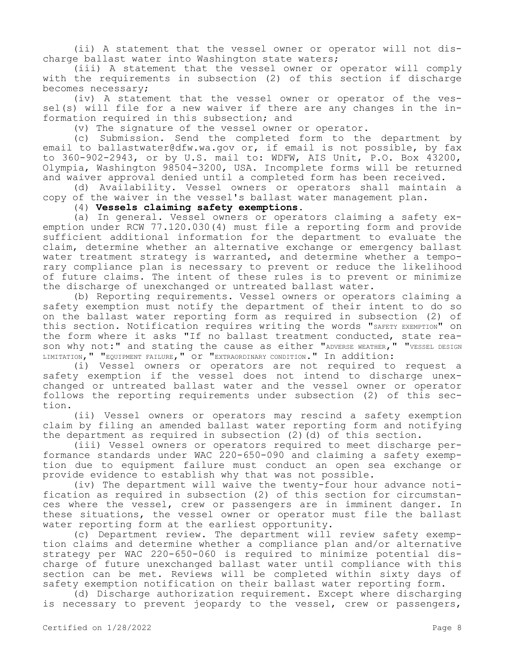(ii) A statement that the vessel owner or operator will not discharge ballast water into Washington state waters;

(iii) A statement that the vessel owner or operator will comply with the requirements in subsection (2) of this section if discharge becomes necessary;

(iv) A statement that the vessel owner or operator of the vessel(s) will file for a new waiver if there are any changes in the information required in this subsection; and

(v) The signature of the vessel owner or operator.

(c) Submission. Send the completed form to the department by email to ballastwater@dfw.wa.gov or, if email is not possible, by  $fax$ to 360-902-2943, or by U.S. mail to: WDFW, AIS Unit, P.O. Box 43200, Olympia, Washington 98504-3200, USA. Incomplete forms will be returned and waiver approval denied until a completed form has been received.

(d) Availability. Vessel owners or operators shall maintain a copy of the waiver in the vessel's ballast water management plan.

(4) **Vessels claiming safety exemptions.**

(a) In general. Vessel owners or operators claiming a safety exemption under RCW 77.120.030(4) must file a reporting form and provide sufficient additional information for the department to evaluate the claim, determine whether an alternative exchange or emergency ballast water treatment strategy is warranted, and determine whether a temporary compliance plan is necessary to prevent or reduce the likelihood of future claims. The intent of these rules is to prevent or minimize the discharge of unexchanged or untreated ballast water.

(b) Reporting requirements. Vessel owners or operators claiming a safety exemption must notify the department of their intent to do so on the ballast water reporting form as required in subsection (2) of this section. Notification requires writing the words "SAFETY EXEMPTION" on the form where it asks "If no ballast treatment conducted, state reason why not:" and stating the cause as either "ADVERSE WEATHER," "VESSEL DESIGN LIMITATION," "EQUIPMENT FAILURE," OT "EXTRAORDINARY CONDITION." In addition:

(i) Vessel owners or operators are not required to request a safety exemption if the vessel does not intend to discharge unexchanged or untreated ballast water and the vessel owner or operator follows the reporting requirements under subsection (2) of this section.

(ii) Vessel owners or operators may rescind a safety exemption claim by filing an amended ballast water reporting form and notifying the department as required in subsection (2)(d) of this section.

(iii) Vessel owners or operators required to meet discharge performance standards under WAC 220-650-090 and claiming a safety exemption due to equipment failure must conduct an open sea exchange or provide evidence to establish why that was not possible.

(iv) The department will waive the twenty-four hour advance notification as required in subsection (2) of this section for circumstances where the vessel, crew or passengers are in imminent danger. In these situations, the vessel owner or operator must file the ballast water reporting form at the earliest opportunity.

(c) Department review. The department will review safety exemption claims and determine whether a compliance plan and/or alternative strategy per WAC 220-650-060 is required to minimize potential discharge of future unexchanged ballast water until compliance with this section can be met. Reviews will be completed within sixty days of safety exemption notification on their ballast water reporting form.

(d) Discharge authorization requirement. Except where discharging is necessary to prevent jeopardy to the vessel, crew or passengers,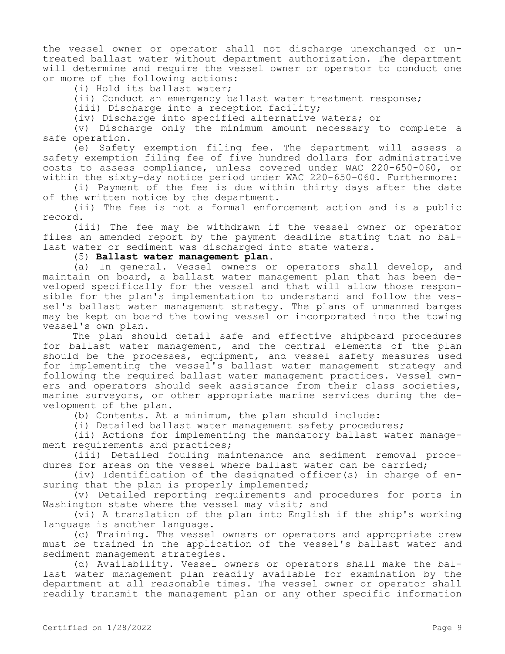the vessel owner or operator shall not discharge unexchanged or untreated ballast water without department authorization. The department will determine and require the vessel owner or operator to conduct one or more of the following actions:

(i) Hold its ballast water;

(ii) Conduct an emergency ballast water treatment response;

(iii) Discharge into a reception facility;

(iv) Discharge into specified alternative waters; or

(v) Discharge only the minimum amount necessary to complete a safe operation.

(e) Safety exemption filing fee. The department will assess a safety exemption filing fee of five hundred dollars for administrative costs to assess compliance, unless covered under WAC 220-650-060, or within the sixty-day notice period under WAC 220-650-060. Furthermore:

(i) Payment of the fee is due within thirty days after the date of the written notice by the department.

(ii) The fee is not a formal enforcement action and is a public record.

(iii) The fee may be withdrawn if the vessel owner or operator files an amended report by the payment deadline stating that no ballast water or sediment was discharged into state waters.

(5) **Ballast water management plan.**

(a) In general. Vessel owners or operators shall develop, and maintain on board, a ballast water management plan that has been developed specifically for the vessel and that will allow those responsible for the plan's implementation to understand and follow the vessel's ballast water management strategy. The plans of unmanned barges may be kept on board the towing vessel or incorporated into the towing vessel's own plan.

The plan should detail safe and effective shipboard procedures for ballast water management, and the central elements of the plan should be the processes, equipment, and vessel safety measures used for implementing the vessel's ballast water management strategy and following the required ballast water management practices. Vessel owners and operators should seek assistance from their class societies, marine surveyors, or other appropriate marine services during the development of the plan.

(b) Contents. At a minimum, the plan should include:

(i) Detailed ballast water management safety procedures;

(ii) Actions for implementing the mandatory ballast water management requirements and practices;

(iii) Detailed fouling maintenance and sediment removal procedures for areas on the vessel where ballast water can be carried;

(iv) Identification of the designated officer(s) in charge of ensuring that the plan is properly implemented;

(v) Detailed reporting requirements and procedures for ports in Washington state where the vessel may visit; and

(vi) A translation of the plan into English if the ship's working language is another language.

(c) Training. The vessel owners or operators and appropriate crew must be trained in the application of the vessel's ballast water and sediment management strategies.

(d) Availability. Vessel owners or operators shall make the ballast water management plan readily available for examination by the department at all reasonable times. The vessel owner or operator shall readily transmit the management plan or any other specific information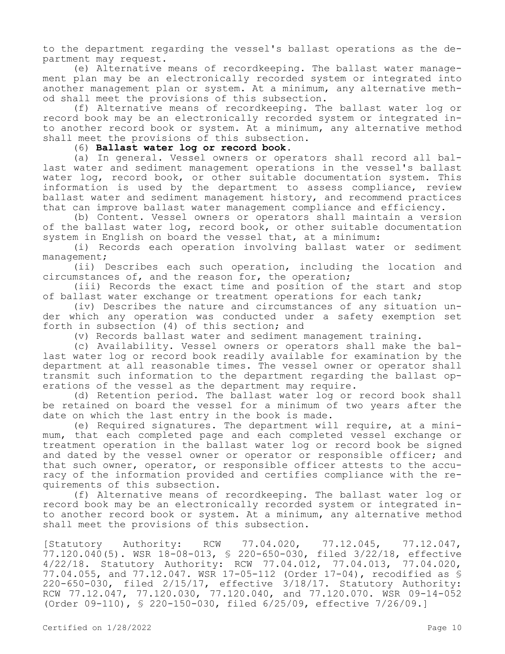to the department regarding the vessel's ballast operations as the department may request.

(e) Alternative means of recordkeeping. The ballast water management plan may be an electronically recorded system or integrated into another management plan or system. At a minimum, any alternative method shall meet the provisions of this subsection.

(f) Alternative means of recordkeeping. The ballast water log or record book may be an electronically recorded system or integrated into another record book or system. At a minimum, any alternative method shall meet the provisions of this subsection.

# (6) **Ballast water log or record book.**

(a) In general. Vessel owners or operators shall record all ballast water and sediment management operations in the vessel's ballast water log, record book, or other suitable documentation system. This information is used by the department to assess compliance, review ballast water and sediment management history, and recommend practices that can improve ballast water management compliance and efficiency.

(b) Content. Vessel owners or operators shall maintain a version of the ballast water log, record book, or other suitable documentation system in English on board the vessel that, at a minimum:

(i) Records each operation involving ballast water or sediment management;

(ii) Describes each such operation, including the location and circumstances of, and the reason for, the operation;

(iii) Records the exact time and position of the start and stop of ballast water exchange or treatment operations for each tank;

(iv) Describes the nature and circumstances of any situation under which any operation was conducted under a safety exemption set forth in subsection (4) of this section; and

(v) Records ballast water and sediment management training.

(c) Availability. Vessel owners or operators shall make the ballast water log or record book readily available for examination by the department at all reasonable times. The vessel owner or operator shall transmit such information to the department regarding the ballast operations of the vessel as the department may require.

(d) Retention period. The ballast water log or record book shall be retained on board the vessel for a minimum of two years after the date on which the last entry in the book is made.

(e) Required signatures. The department will require, at a minimum, that each completed page and each completed vessel exchange or treatment operation in the ballast water log or record book be signed and dated by the vessel owner or operator or responsible officer; and that such owner, operator, or responsible officer attests to the accuracy of the information provided and certifies compliance with the requirements of this subsection.

(f) Alternative means of recordkeeping. The ballast water log or record book may be an electronically recorded system or integrated into another record book or system. At a minimum, any alternative method shall meet the provisions of this subsection.

[Statutory Authority: RCW 77.04.020, 77.12.045, 77.12.047, 77.120.040(5). WSR 18-08-013, § 220-650-030, filed 3/22/18, effective 4/22/18. Statutory Authority: RCW 77.04.012, 77.04.013, 77.04.020, 77.04.055, and 77.12.047. WSR 17-05-112 (Order 17-04), recodified as § 220-650-030, filed 2/15/17, effective 3/18/17. Statutory Authority: RCW 77.12.047, 77.120.030, 77.120.040, and 77.120.070. WSR 09-14-052 (Order 09-110), § 220-150-030, filed 6/25/09, effective 7/26/09.]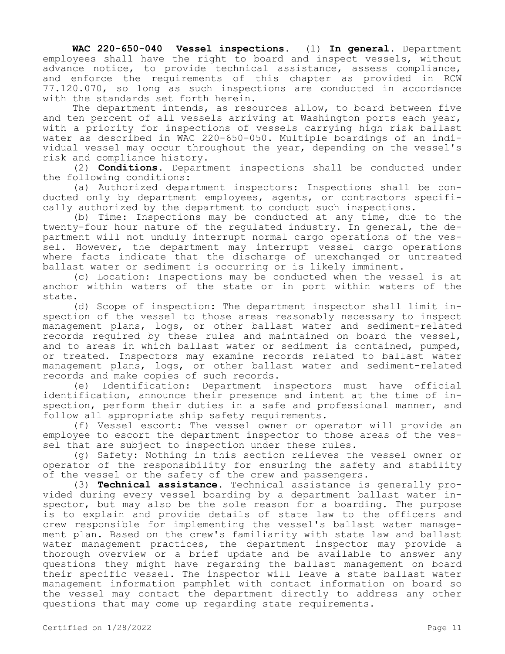**WAC 220-650-040 Vessel inspections.** (1) **In general.** Department employees shall have the right to board and inspect vessels, without advance notice, to provide technical assistance, assess compliance, and enforce the requirements of this chapter as provided in RCW 77.120.070, so long as such inspections are conducted in accordance with the standards set forth herein.

The department intends, as resources allow, to board between five and ten percent of all vessels arriving at Washington ports each year, with a priority for inspections of vessels carrying high risk ballast water as described in WAC 220-650-050. Multiple boardings of an individual vessel may occur throughout the year, depending on the vessel's risk and compliance history.

(2) **Conditions.** Department inspections shall be conducted under the following conditions:

(a) Authorized department inspectors: Inspections shall be conducted only by department employees, agents, or contractors specifically authorized by the department to conduct such inspections.

(b) Time: Inspections may be conducted at any time, due to the twenty-four hour nature of the regulated industry. In general, the department will not unduly interrupt normal cargo operations of the vessel. However, the department may interrupt vessel cargo operations where facts indicate that the discharge of unexchanged or untreated ballast water or sediment is occurring or is likely imminent.

(c) Location: Inspections may be conducted when the vessel is at anchor within waters of the state or in port within waters of the state.

(d) Scope of inspection: The department inspector shall limit inspection of the vessel to those areas reasonably necessary to inspect management plans, logs, or other ballast water and sediment-related records required by these rules and maintained on board the vessel, and to areas in which ballast water or sediment is contained, pumped, or treated. Inspectors may examine records related to ballast water management plans, logs, or other ballast water and sediment-related records and make copies of such records.

(e) Identification: Department inspectors must have official identification, announce their presence and intent at the time of inspection, perform their duties in a safe and professional manner, and follow all appropriate ship safety requirements.

(f) Vessel escort: The vessel owner or operator will provide an employee to escort the department inspector to those areas of the vessel that are subject to inspection under these rules.

(g) Safety: Nothing in this section relieves the vessel owner or operator of the responsibility for ensuring the safety and stability of the vessel or the safety of the crew and passengers.

(3) **Technical assistance.** Technical assistance is generally provided during every vessel boarding by a department ballast water inspector, but may also be the sole reason for a boarding. The purpose is to explain and provide details of state law to the officers and crew responsible for implementing the vessel's ballast water management plan. Based on the crew's familiarity with state law and ballast water management practices, the department inspector may provide a thorough overview or a brief update and be available to answer any questions they might have regarding the ballast management on board their specific vessel. The inspector will leave a state ballast water management information pamphlet with contact information on board so the vessel may contact the department directly to address any other questions that may come up regarding state requirements.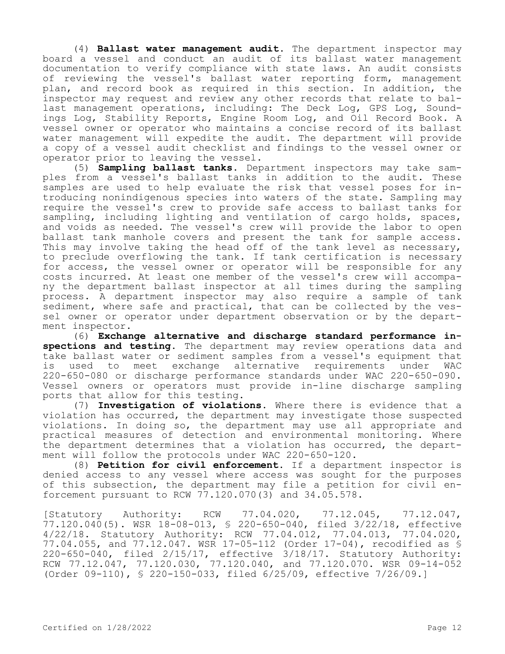(4) **Ballast water management audit.** The department inspector may board a vessel and conduct an audit of its ballast water management documentation to verify compliance with state laws. An audit consists of reviewing the vessel's ballast water reporting form, management plan, and record book as required in this section. In addition, the inspector may request and review any other records that relate to ballast management operations, including: The Deck Log, GPS Log, Soundings Log, Stability Reports, Engine Room Log, and Oil Record Book. A vessel owner or operator who maintains a concise record of its ballast water management will expedite the audit. The department will provide a copy of a vessel audit checklist and findings to the vessel owner or operator prior to leaving the vessel.

(5) **Sampling ballast tanks.** Department inspectors may take samples from a vessel's ballast tanks in addition to the audit. These samples are used to help evaluate the risk that vessel poses for introducing nonindigenous species into waters of the state. Sampling may require the vessel's crew to provide safe access to ballast tanks for sampling, including lighting and ventilation of cargo holds, spaces, and voids as needed. The vessel's crew will provide the labor to open ballast tank manhole covers and present the tank for sample access. This may involve taking the head off of the tank level as necessary, to preclude overflowing the tank. If tank certification is necessary for access, the vessel owner or operator will be responsible for any costs incurred. At least one member of the vessel's crew will accompany the department ballast inspector at all times during the sampling process. A department inspector may also require a sample of tank sediment, where safe and practical, that can be collected by the vessel owner or operator under department observation or by the department inspector.

(6) **Exchange alternative and discharge standard performance inspections and testing.** The department may review operations data and take ballast water or sediment samples from a vessel's equipment that is used to meet exchange alternative requirements under WAC 220-650-080 or discharge performance standards under WAC 220-650-090. Vessel owners or operators must provide in-line discharge sampling ports that allow for this testing.

(7) **Investigation of violations.** Where there is evidence that a violation has occurred, the department may investigate those suspected violations. In doing so, the department may use all appropriate and practical measures of detection and environmental monitoring. Where the department determines that a violation has occurred, the department will follow the protocols under WAC 220-650-120.

(8) **Petition for civil enforcement.** If a department inspector is denied access to any vessel where access was sought for the purposes of this subsection, the department may file a petition for civil enforcement pursuant to RCW 77.120.070(3) and 34.05.578.

[Statutory Authority: RCW 77.04.020, 77.12.045, 77.12.047, 77.120.040(5). WSR 18-08-013, § 220-650-040, filed 3/22/18, effective 4/22/18. Statutory Authority: RCW 77.04.012, 77.04.013, 77.04.020, 77.04.055, and 77.12.047. WSR 17-05-112 (Order 17-04), recodified as § 220-650-040, filed 2/15/17, effective 3/18/17. Statutory Authority: RCW 77.12.047, 77.120.030, 77.120.040, and 77.120.070. WSR 09-14-052 (Order 09-110), § 220-150-033, filed 6/25/09, effective 7/26/09.]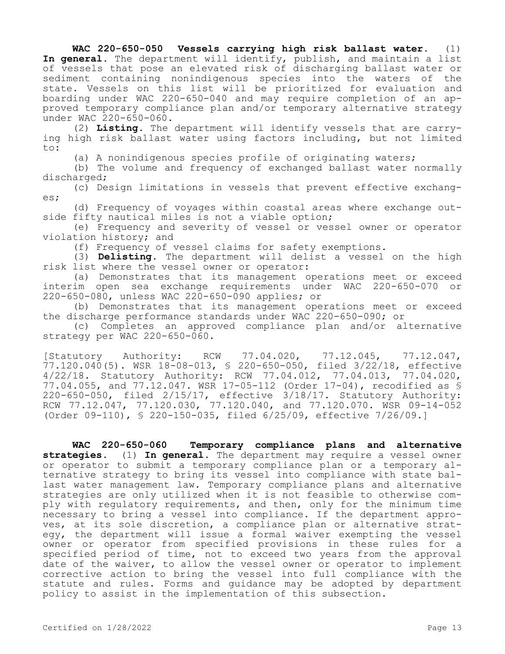**WAC 220-650-050 Vessels carrying high risk ballast water.** (1) **In general.** The department will identify, publish, and maintain a list of vessels that pose an elevated risk of discharging ballast water or sediment containing nonindigenous species into the waters of the state. Vessels on this list will be prioritized for evaluation and boarding under WAC 220-650-040 and may require completion of an approved temporary compliance plan and/or temporary alternative strategy under WAC 220-650-060.

(2) **Listing.** The department will identify vessels that are carrying high risk ballast water using factors including, but not limited to:

(a) A nonindigenous species profile of originating waters;

(b) The volume and frequency of exchanged ballast water normally discharged;

(c) Design limitations in vessels that prevent effective exchanges;

(d) Frequency of voyages within coastal areas where exchange outside fifty nautical miles is not a viable option;

(e) Frequency and severity of vessel or vessel owner or operator violation history; and

(f) Frequency of vessel claims for safety exemptions.

(3) **Delisting.** The department will delist a vessel on the high risk list where the vessel owner or operator:

(a) Demonstrates that its management operations meet or exceed interim open sea exchange requirements under WAC 220-650-070 or 220-650-080, unless WAC 220-650-090 applies; or

(b) Demonstrates that its management operations meet or exceed the discharge performance standards under WAC 220-650-090; or

(c) Completes an approved compliance plan and/or alternative strategy per WAC 220-650-060.

[Statutory Authority: RCW 77.04.020, 77.12.045, 77.12.047, 77.120.040(5). WSR 18-08-013, § 220-650-050, filed 3/22/18, effective 4/22/18. Statutory Authority: RCW 77.04.012, 77.04.013, 77.04.020, 77.04.055, and 77.12.047. WSR 17-05-112 (Order 17-04), recodified as § 220-650-050, filed 2/15/17, effective 3/18/17. Statutory Authority: RCW 77.12.047, 77.120.030, 77.120.040, and 77.120.070. WSR 09-14-052 (Order 09-110), § 220-150-035, filed 6/25/09, effective 7/26/09.]

**WAC 220-650-060 Temporary compliance plans and alternative strategies.** (1) **In general.** The department may require a vessel owner or operator to submit a temporary compliance plan or a temporary alternative strategy to bring its vessel into compliance with state ballast water management law. Temporary compliance plans and alternative strategies are only utilized when it is not feasible to otherwise comply with regulatory requirements, and then, only for the minimum time necessary to bring a vessel into compliance. If the department approves, at its sole discretion, a compliance plan or alternative strategy, the department will issue a formal waiver exempting the vessel owner or operator from specified provisions in these rules for a specified period of time, not to exceed two years from the approval date of the waiver, to allow the vessel owner or operator to implement corrective action to bring the vessel into full compliance with the statute and rules. Forms and guidance may be adopted by department policy to assist in the implementation of this subsection.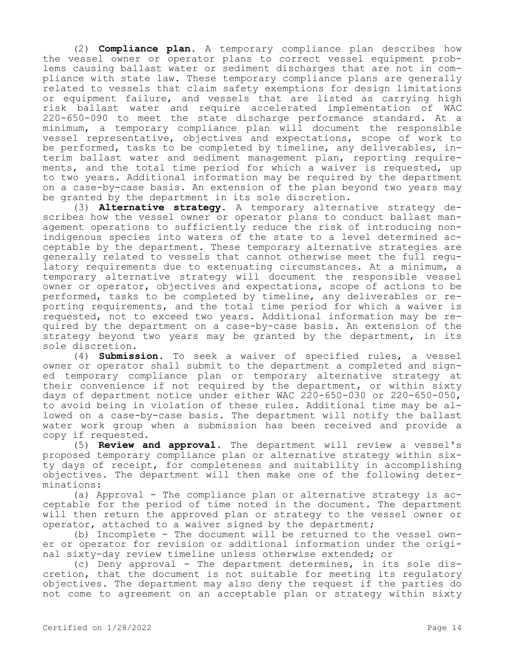(2) **Compliance plan.** A temporary compliance plan describes how the vessel owner or operator plans to correct vessel equipment problems causing ballast water or sediment discharges that are not in compliance with state law. These temporary compliance plans are generally related to vessels that claim safety exemptions for design limitations or equipment failure, and vessels that are listed as carrying high risk ballast water and require accelerated implementation of WAC 220-650-090 to meet the state discharge performance standard. At a minimum, a temporary compliance plan will document the responsible vessel representative, objectives and expectations, scope of work to be performed, tasks to be completed by timeline, any deliverables, interim ballast water and sediment management plan, reporting requirements, and the total time period for which a waiver is requested, up to two years. Additional information may be required by the department on a case-by-case basis. An extension of the plan beyond two years may be granted by the department in its sole discretion.

(3) **Alternative strategy.** A temporary alternative strategy describes how the vessel owner or operator plans to conduct ballast management operations to sufficiently reduce the risk of introducing nonindigenous species into waters of the state to a level determined acceptable by the department. These temporary alternative strategies are generally related to vessels that cannot otherwise meet the full regulatory requirements due to extenuating circumstances. At a minimum, a temporary alternative strategy will document the responsible vessel owner or operator, objectives and expectations, scope of actions to be performed, tasks to be completed by timeline, any deliverables or reporting requirements, and the total time period for which a waiver is requested, not to exceed two years. Additional information may be required by the department on a case-by-case basis. An extension of the strategy beyond two years may be granted by the department, in its sole discretion.

(4) **Submission.** To seek a waiver of specified rules, a vessel owner or operator shall submit to the department a completed and signed temporary compliance plan or temporary alternative strategy at their convenience if not required by the department, or within sixty days of department notice under either WAC 220-650-030 or 220-650-050, to avoid being in violation of these rules. Additional time may be allowed on a case-by-case basis. The department will notify the ballast water work group when a submission has been received and provide a copy if requested.

(5) **Review and approval.** The department will review a vessel's proposed temporary compliance plan or alternative strategy within sixty days of receipt, for completeness and suitability in accomplishing objectives. The department will then make one of the following determinations:

(a) Approval - The compliance plan or alternative strategy is acceptable for the period of time noted in the document. The department will then return the approved plan or strategy to the vessel owner or operator, attached to a waiver signed by the department;

(b) Incomplete - The document will be returned to the vessel owner or operator for revision or additional information under the original sixty-day review timeline unless otherwise extended; or

(c) Deny approval - The department determines, in its sole discretion, that the document is not suitable for meeting its regulatory objectives. The department may also deny the request if the parties do not come to agreement on an acceptable plan or strategy within sixty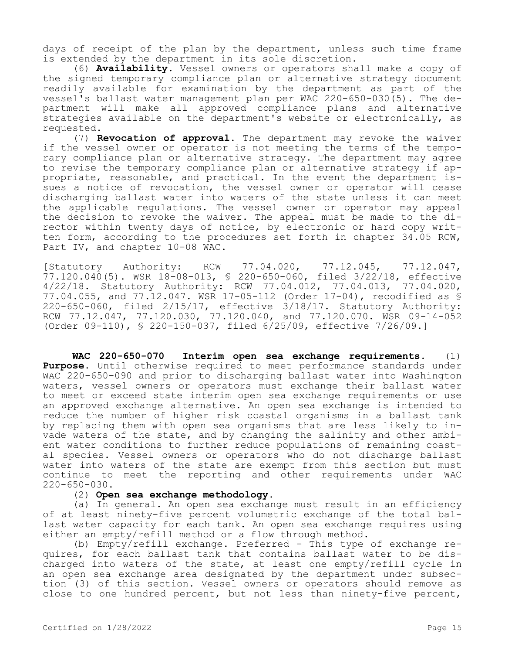days of receipt of the plan by the department, unless such time frame is extended by the department in its sole discretion.

(6) **Availability.** Vessel owners or operators shall make a copy of the signed temporary compliance plan or alternative strategy document readily available for examination by the department as part of the vessel's ballast water management plan per WAC 220-650-030(5). The department will make all approved compliance plans and alternative strategies available on the department's website or electronically, as requested.

(7) **Revocation of approval.** The department may revoke the waiver if the vessel owner or operator is not meeting the terms of the temporary compliance plan or alternative strategy. The department may agree to revise the temporary compliance plan or alternative strategy if appropriate, reasonable, and practical. In the event the department issues a notice of revocation, the vessel owner or operator will cease discharging ballast water into waters of the state unless it can meet the applicable regulations. The vessel owner or operator may appeal the decision to revoke the waiver. The appeal must be made to the director within twenty days of notice, by electronic or hard copy written form, according to the procedures set forth in chapter 34.05 RCW, Part IV, and chapter 10-08 WAC.

[Statutory Authority: RCW 77.04.020, 77.12.045, 77.12.047, 77.120.040(5). WSR 18-08-013, § 220-650-060, filed 3/22/18, effective 4/22/18. Statutory Authority: RCW 77.04.012, 77.04.013, 77.04.020, 77.04.055, and 77.12.047. WSR 17-05-112 (Order 17-04), recodified as § 220-650-060, filed 2/15/17, effective 3/18/17. Statutory Authority: RCW 77.12.047, 77.120.030, 77.120.040, and 77.120.070. WSR 09-14-052 (Order 09-110), § 220-150-037, filed 6/25/09, effective 7/26/09.]

**WAC 220-650-070 Interim open sea exchange requirements.** (1) **Purpose.** Until otherwise required to meet performance standards under WAC 220-650-090 and prior to discharging ballast water into Washington waters, vessel owners or operators must exchange their ballast water to meet or exceed state interim open sea exchange requirements or use an approved exchange alternative. An open sea exchange is intended to reduce the number of higher risk coastal organisms in a ballast tank by replacing them with open sea organisms that are less likely to invade waters of the state, and by changing the salinity and other ambient water conditions to further reduce populations of remaining coastal species. Vessel owners or operators who do not discharge ballast water into waters of the state are exempt from this section but must continue to meet the reporting and other requirements under WAC 220-650-030.

#### (2) **Open sea exchange methodology.**

(a) In general. An open sea exchange must result in an efficiency of at least ninety-five percent volumetric exchange of the total ballast water capacity for each tank. An open sea exchange requires using either an empty/refill method or a flow through method.

(b) Empty/refill exchange. Preferred - This type of exchange requires, for each ballast tank that contains ballast water to be discharged into waters of the state, at least one empty/refill cycle in an open sea exchange area designated by the department under subsection (3) of this section. Vessel owners or operators should remove as close to one hundred percent, but not less than ninety-five percent,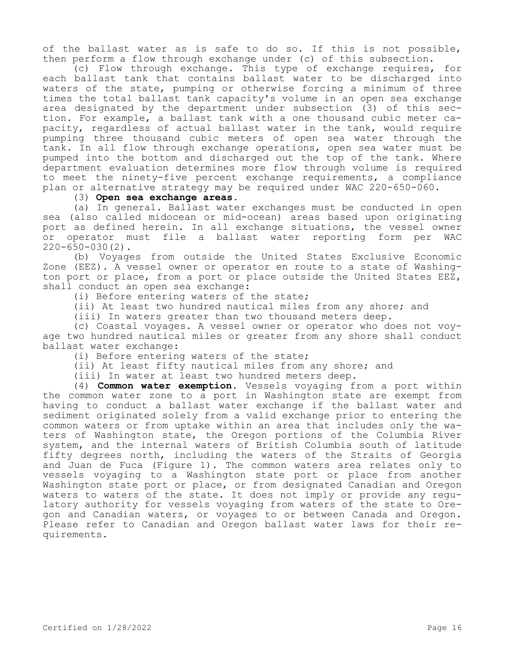of the ballast water as is safe to do so. If this is not possible, then perform a flow through exchange under (c) of this subsection.

(c) Flow through exchange. This type of exchange requires, for each ballast tank that contains ballast water to be discharged into waters of the state, pumping or otherwise forcing a minimum of three times the total ballast tank capacity's volume in an open sea exchange area designated by the department under subsection (3) of this section. For example, a ballast tank with a one thousand cubic meter capacity, regardless of actual ballast water in the tank, would require pumping three thousand cubic meters of open sea water through the tank. In all flow through exchange operations, open sea water must be pumped into the bottom and discharged out the top of the tank. Where department evaluation determines more flow through volume is required to meet the ninety-five percent exchange requirements, a compliance plan or alternative strategy may be required under WAC 220-650-060.

#### (3) **Open sea exchange areas.**

(a) In general. Ballast water exchanges must be conducted in open sea (also called midocean or mid-ocean) areas based upon originating port as defined herein. In all exchange situations, the vessel owner or operator must file a ballast water reporting form per WAC  $220 - 650 - 030(2)$ .

(b) Voyages from outside the United States Exclusive Economic Zone (EEZ). A vessel owner or operator en route to a state of Washington port or place, from a port or place outside the United States EEZ, shall conduct an open sea exchange:

(i) Before entering waters of the state;

(ii) At least two hundred nautical miles from any shore; and

(iii) In waters greater than two thousand meters deep.

(c) Coastal voyages. A vessel owner or operator who does not voyage two hundred nautical miles or greater from any shore shall conduct ballast water exchange:

(i) Before entering waters of the state;

(ii) At least fifty nautical miles from any shore; and

(iii) In water at least two hundred meters deep.

(4) **Common water exemption.** Vessels voyaging from a port within the common water zone to a port in Washington state are exempt from having to conduct a ballast water exchange if the ballast water and sediment originated solely from a valid exchange prior to entering the common waters or from uptake within an area that includes only the waters of Washington state, the Oregon portions of the Columbia River system, and the internal waters of British Columbia south of latitude fifty degrees north, including the waters of the Straits of Georgia and Juan de Fuca (Figure 1). The common waters area relates only to vessels voyaging to a Washington state port or place from another Washington state port or place, or from designated Canadian and Oregon waters to waters of the state. It does not imply or provide any regulatory authority for vessels voyaging from waters of the state to Oregon and Canadian waters, or voyages to or between Canada and Oregon. Please refer to Canadian and Oregon ballast water laws for their requirements.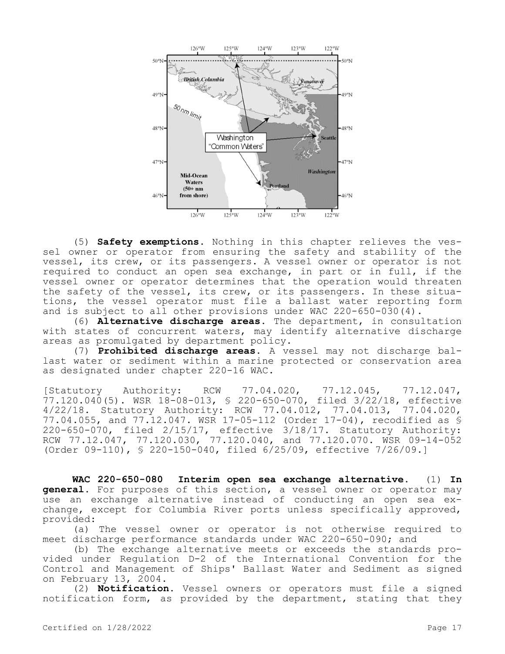

(5) **Safety exemptions.** Nothing in this chapter relieves the vessel owner or operator from ensuring the safety and stability of the vessel, its crew, or its passengers. A vessel owner or operator is not required to conduct an open sea exchange, in part or in full, if the vessel owner or operator determines that the operation would threaten the safety of the vessel, its crew, or its passengers. In these situations, the vessel operator must file a ballast water reporting form and is subject to all other provisions under WAC 220-650-030(4).

(6) **Alternative discharge areas.** The department, in consultation with states of concurrent waters, may identify alternative discharge areas as promulgated by department policy.

(7) **Prohibited discharge areas.** A vessel may not discharge ballast water or sediment within a marine protected or conservation area as designated under chapter 220-16 WAC.

[Statutory Authority: RCW 77.04.020, 77.12.045, 77.12.047, 77.120.040(5). WSR 18-08-013, § 220-650-070, filed 3/22/18, effective 4/22/18. Statutory Authority: RCW 77.04.012, 77.04.013, 77.04.020, 77.04.055, and 77.12.047. WSR 17-05-112 (Order 17-04), recodified as § 220-650-070, filed 2/15/17, effective 3/18/17. Statutory Authority: RCW 77.12.047, 77.120.030, 77.120.040, and 77.120.070. WSR 09-14-052 (Order 09-110), § 220-150-040, filed 6/25/09, effective 7/26/09.]

**WAC 220-650-080 Interim open sea exchange alternative.** (1) **In general.** For purposes of this section, a vessel owner or operator may use an exchange alternative instead of conducting an open sea exchange, except for Columbia River ports unless specifically approved, provided:

(a) The vessel owner or operator is not otherwise required to meet discharge performance standards under WAC 220-650-090; and

(b) The exchange alternative meets or exceeds the standards provided under Regulation D-2 of the International Convention for the Control and Management of Ships' Ballast Water and Sediment as signed on February 13, 2004.

(2) **Notification.** Vessel owners or operators must file a signed notification form, as provided by the department, stating that they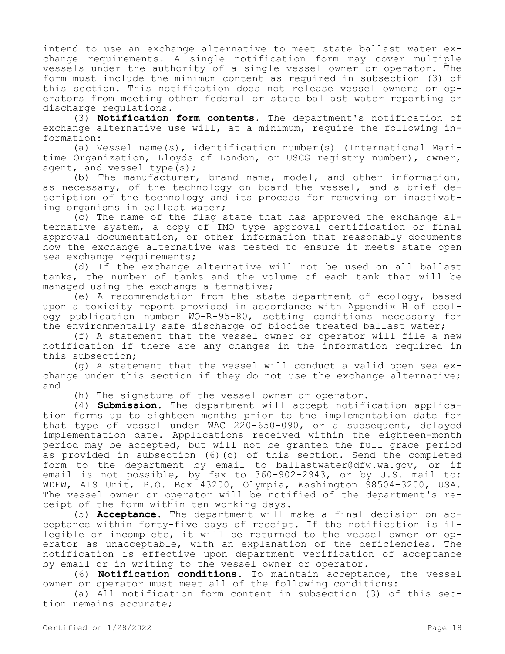intend to use an exchange alternative to meet state ballast water exchange requirements. A single notification form may cover multiple vessels under the authority of a single vessel owner or operator. The form must include the minimum content as required in subsection (3) of this section. This notification does not release vessel owners or operators from meeting other federal or state ballast water reporting or discharge regulations.

(3) **Notification form contents.** The department's notification of exchange alternative use will, at a minimum, require the following information:

(a) Vessel name(s), identification number(s) (International Maritime Organization, Lloyds of London, or USCG registry number), owner, agent, and vessel type(s);

(b) The manufacturer, brand name, model, and other information, as necessary, of the technology on board the vessel, and a brief description of the technology and its process for removing or inactivating organisms in ballast water;

(c) The name of the flag state that has approved the exchange alternative system, a copy of IMO type approval certification or final approval documentation, or other information that reasonably documents how the exchange alternative was tested to ensure it meets state open sea exchange requirements;

(d) If the exchange alternative will not be used on all ballast tanks, the number of tanks and the volume of each tank that will be managed using the exchange alternative;

(e) A recommendation from the state department of ecology, based upon a toxicity report provided in accordance with Appendix H of ecology publication number WQ-R-95-80, setting conditions necessary for the environmentally safe discharge of biocide treated ballast water;

(f) A statement that the vessel owner or operator will file a new notification if there are any changes in the information required in this subsection;

(g) A statement that the vessel will conduct a valid open sea exchange under this section if they do not use the exchange alternative; and

(h) The signature of the vessel owner or operator.

(4) **Submission.** The department will accept notification application forms up to eighteen months prior to the implementation date for that type of vessel under WAC 220-650-090, or a subsequent, delayed implementation date. Applications received within the eighteen-month period may be accepted, but will not be granted the full grace period as provided in subsection (6)(c) of this section. Send the completed form to the department by email to ballastwater@dfw.wa.gov, or if email is not possible, by fax to 360-902-2943, or by U.S. mail to: WDFW, AIS Unit, P.O. Box 43200, Olympia, Washington 98504-3200, USA. The vessel owner or operator will be notified of the department's receipt of the form within ten working days.

(5) **Acceptance.** The department will make a final decision on acceptance within forty-five days of receipt. If the notification is illegible or incomplete, it will be returned to the vessel owner or operator as unacceptable, with an explanation of the deficiencies. The notification is effective upon department verification of acceptance by email or in writing to the vessel owner or operator.

(6) **Notification conditions.** To maintain acceptance, the vessel owner or operator must meet all of the following conditions:

(a) All notification form content in subsection (3) of this section remains accurate;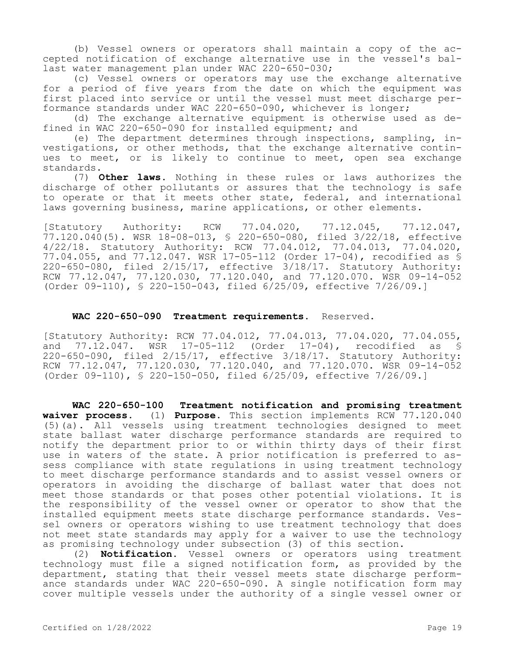(b) Vessel owners or operators shall maintain a copy of the accepted notification of exchange alternative use in the vessel's ballast water management plan under WAC 220-650-030;

(c) Vessel owners or operators may use the exchange alternative for a period of five years from the date on which the equipment was first placed into service or until the vessel must meet discharge performance standards under WAC 220-650-090, whichever is longer;

(d) The exchange alternative equipment is otherwise used as defined in WAC 220-650-090 for installed equipment; and

(e) The department determines through inspections, sampling, investigations, or other methods, that the exchange alternative continues to meet, or is likely to continue to meet, open sea exchange standards.

(7) **Other laws.** Nothing in these rules or laws authorizes the discharge of other pollutants or assures that the technology is safe to operate or that it meets other state, federal, and international laws governing business, marine applications, or other elements.

[Statutory Authority: RCW 77.04.020, 77.12.045, 77.12.047, 77.120.040(5). WSR 18-08-013, § 220-650-080, filed 3/22/18, effective 4/22/18. Statutory Authority: RCW 77.04.012, 77.04.013, 77.04.020, 77.04.055, and 77.12.047. WSR 17-05-112 (Order 17-04), recodified as § 220-650-080, filed 2/15/17, effective 3/18/17. Statutory Authority: RCW 77.12.047, 77.120.030, 77.120.040, and 77.120.070. WSR 09-14-052 (Order 09-110), § 220-150-043, filed 6/25/09, effective 7/26/09.]

#### **WAC 220-650-090 Treatment requirements.** Reserved.

[Statutory Authority: RCW 77.04.012, 77.04.013, 77.04.020, 77.04.055,<br>and 77.12.047. WSR 17-05-112 (Order 17-04), recodified as \$ and 77.12.047. WSR 17-05-112 (Order 17-04), recodified as § 220-650-090, filed 2/15/17, effective 3/18/17. Statutory Authority: RCW 77.12.047, 77.120.030, 77.120.040, and 77.120.070. WSR 09-14-052 (Order 09-110), § 220-150-050, filed 6/25/09, effective 7/26/09.]

**WAC 220-650-100 Treatment notification and promising treatment waiver process.** (1) **Purpose.** This section implements RCW 77.120.040 (5)(a). All vessels using treatment technologies designed to meet state ballast water discharge performance standards are required to notify the department prior to or within thirty days of their first use in waters of the state. A prior notification is preferred to assess compliance with state regulations in using treatment technology to meet discharge performance standards and to assist vessel owners or operators in avoiding the discharge of ballast water that does not meet those standards or that poses other potential violations. It is the responsibility of the vessel owner or operator to show that the installed equipment meets state discharge performance standards. Vessel owners or operators wishing to use treatment technology that does not meet state standards may apply for a waiver to use the technology as promising technology under subsection (3) of this section.

(2) **Notification.** Vessel owners or operators using treatment technology must file a signed notification form, as provided by the department, stating that their vessel meets state discharge performance standards under WAC 220-650-090. A single notification form may cover multiple vessels under the authority of a single vessel owner or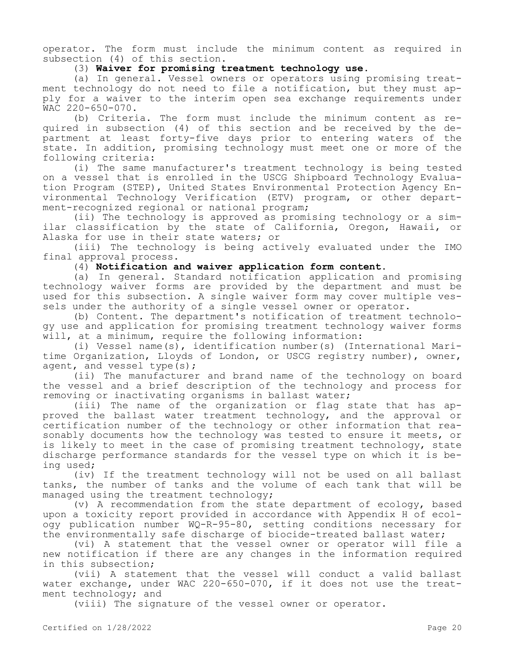operator. The form must include the minimum content as required in subsection (4) of this section.

### (3) **Waiver for promising treatment technology use.**

(a) In general. Vessel owners or operators using promising treatment technology do not need to file a notification, but they must apply for a waiver to the interim open sea exchange requirements under WAC 220-650-070.

(b) Criteria. The form must include the minimum content as required in subsection (4) of this section and be received by the department at least forty-five days prior to entering waters of the state. In addition, promising technology must meet one or more of the following criteria:

(i) The same manufacturer's treatment technology is being tested on a vessel that is enrolled in the USCG Shipboard Technology Evaluation Program (STEP), United States Environmental Protection Agency Environmental Technology Verification (ETV) program, or other department-recognized regional or national program;

(ii) The technology is approved as promising technology or a similar classification by the state of California, Oregon, Hawaii, or Alaska for use in their state waters; or

(iii) The technology is being actively evaluated under the IMO final approval process.

(4) **Notification and waiver application form content.**

(a) In general. Standard notification application and promising technology waiver forms are provided by the department and must be used for this subsection. A single waiver form may cover multiple vessels under the authority of a single vessel owner or operator.

(b) Content. The department's notification of treatment technology use and application for promising treatment technology waiver forms will, at a minimum, require the following information:

(i) Vessel name(s), identification number(s) (International Maritime Organization, Lloyds of London, or USCG registry number), owner, agent, and vessel type(s);

(ii) The manufacturer and brand name of the technology on board the vessel and a brief description of the technology and process for removing or inactivating organisms in ballast water;

(iii) The name of the organization or flag state that has approved the ballast water treatment technology, and the approval or certification number of the technology or other information that reasonably documents how the technology was tested to ensure it meets, or is likely to meet in the case of promising treatment technology, state discharge performance standards for the vessel type on which it is being used;

(iv) If the treatment technology will not be used on all ballast tanks, the number of tanks and the volume of each tank that will be managed using the treatment technology;

(v) A recommendation from the state department of ecology, based upon a toxicity report provided in accordance with Appendix H of ecology publication number WQ-R-95-80, setting conditions necessary for the environmentally safe discharge of biocide-treated ballast water;

(vi) A statement that the vessel owner or operator will file a new notification if there are any changes in the information required in this subsection;

(vii) A statement that the vessel will conduct a valid ballast water exchange, under WAC 220-650-070, if it does not use the treatment technology; and

(viii) The signature of the vessel owner or operator.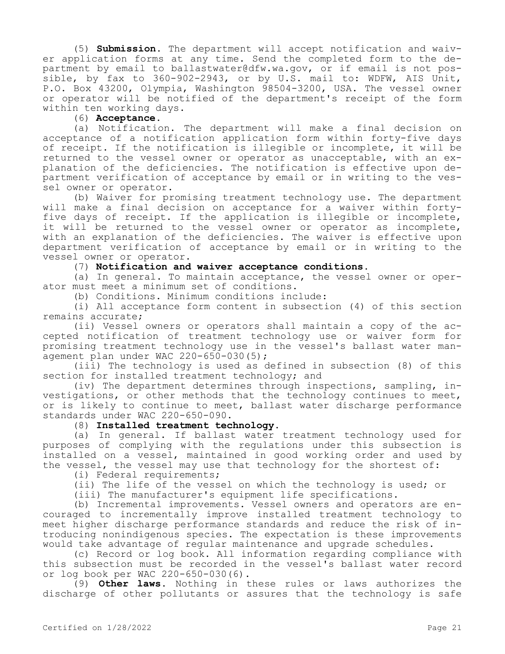(5) **Submission.** The department will accept notification and waiver application forms at any time. Send the completed form to the department by email to ballastwater@dfw.wa.gov, or if email is not possible, by fax to 360-902-2943, or by U.S. mail to: WDFW, AIS Unit, P.O. Box 43200, Olympia, Washington 98504-3200, USA. The vessel owner or operator will be notified of the department's receipt of the form within ten working days.

(6) **Acceptance.**

(a) Notification. The department will make a final decision on acceptance of a notification application form within forty-five days of receipt. If the notification is illegible or incomplete, it will be returned to the vessel owner or operator as unacceptable, with an explanation of the deficiencies. The notification is effective upon department verification of acceptance by email or in writing to the vessel owner or operator.

(b) Waiver for promising treatment technology use. The department will make a final decision on acceptance for a waiver within fortyfive days of receipt. If the application is illegible or incomplete, it will be returned to the vessel owner or operator as incomplete, with an explanation of the deficiencies. The waiver is effective upon department verification of acceptance by email or in writing to the vessel owner or operator.

(7) **Notification and waiver acceptance conditions.**

(a) In general. To maintain acceptance, the vessel owner or operator must meet a minimum set of conditions.

(b) Conditions. Minimum conditions include:

(i) All acceptance form content in subsection (4) of this section remains accurate;

(ii) Vessel owners or operators shall maintain a copy of the accepted notification of treatment technology use or waiver form for promising treatment technology use in the vessel's ballast water management plan under WAC 220-650-030(5);

(iii) The technology is used as defined in subsection (8) of this section for installed treatment technology; and

(iv) The department determines through inspections, sampling, investigations, or other methods that the technology continues to meet, or is likely to continue to meet, ballast water discharge performance standards under WAC 220-650-090.

(8) **Installed treatment technology.**

(a) In general. If ballast water treatment technology used for purposes of complying with the regulations under this subsection is installed on a vessel, maintained in good working order and used by the vessel, the vessel may use that technology for the shortest of:

(i) Federal requirements;

(ii) The life of the vessel on which the technology is used; or

(iii) The manufacturer's equipment life specifications.

(b) Incremental improvements. Vessel owners and operators are encouraged to incrementally improve installed treatment technology to meet higher discharge performance standards and reduce the risk of introducing nonindigenous species. The expectation is these improvements would take advantage of regular maintenance and upgrade schedules.

(c) Record or log book. All information regarding compliance with this subsection must be recorded in the vessel's ballast water record or log book per WAC 220-650-030(6).

(9) **Other laws.** Nothing in these rules or laws authorizes the discharge of other pollutants or assures that the technology is safe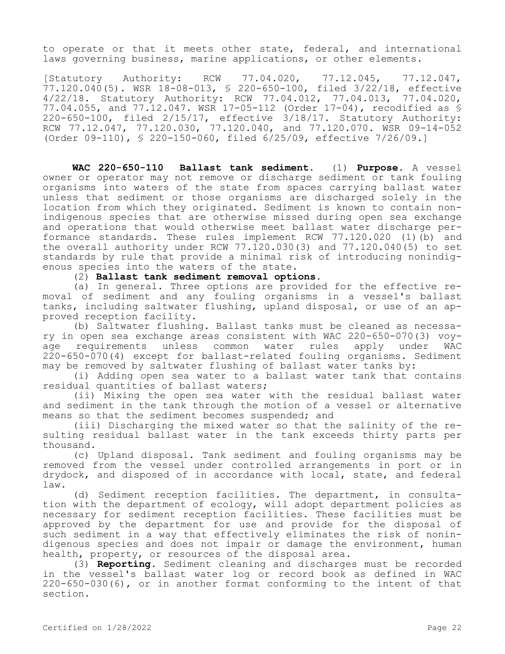to operate or that it meets other state, federal, and international laws governing business, marine applications, or other elements.

[Statutory Authority: RCW 77.04.020, 77.12.045, 77.12.047, 77.120.040(5). WSR 18-08-013, § 220-650-100, filed 3/22/18, effective 4/22/18. Statutory Authority: RCW 77.04.012, 77.04.013, 77.04.020, 77.04.055, and 77.12.047. WSR 17-05-112 (Order 17-04), recodified as § 220-650-100, filed 2/15/17, effective 3/18/17. Statutory Authority: RCW 77.12.047, 77.120.030, 77.120.040, and 77.120.070. WSR 09-14-052 (Order 09-110), § 220-150-060, filed 6/25/09, effective 7/26/09.]

**WAC 220-650-110 Ballast tank sediment.** (1) **Purpose.** A vessel owner or operator may not remove or discharge sediment or tank fouling organisms into waters of the state from spaces carrying ballast water unless that sediment or those organisms are discharged solely in the location from which they originated. Sediment is known to contain nonindigenous species that are otherwise missed during open sea exchange and operations that would otherwise meet ballast water discharge performance standards. These rules implement RCW 77.120.020 (1)(b) and the overall authority under RCW 77.120.030(3) and 77.120.040(5) to set standards by rule that provide a minimal risk of introducing nonindigenous species into the waters of the state.

(2) **Ballast tank sediment removal options.**

(a) In general. Three options are provided for the effective removal of sediment and any fouling organisms in a vessel's ballast tanks, including saltwater flushing, upland disposal, or use of an approved reception facility.

(b) Saltwater flushing. Ballast tanks must be cleaned as necessary in open sea exchange areas consistent with WAC 220-650-070(3) voyage requirements unless common water rules apply under WAC 220-650-070(4) except for ballast-related fouling organisms. Sediment may be removed by saltwater flushing of ballast water tanks by:

(i) Adding open sea water to a ballast water tank that contains residual quantities of ballast waters;

(ii) Mixing the open sea water with the residual ballast water and sediment in the tank through the motion of a vessel or alternative means so that the sediment becomes suspended; and

(iii) Discharging the mixed water so that the salinity of the resulting residual ballast water in the tank exceeds thirty parts per thousand.

(c) Upland disposal. Tank sediment and fouling organisms may be removed from the vessel under controlled arrangements in port or in drydock, and disposed of in accordance with local, state, and federal law.

(d) Sediment reception facilities. The department, in consultation with the department of ecology, will adopt department policies as necessary for sediment reception facilities. These facilities must be approved by the department for use and provide for the disposal of such sediment in a way that effectively eliminates the risk of nonindigenous species and does not impair or damage the environment, human health, property, or resources of the disposal area.

(3) **Reporting.** Sediment cleaning and discharges must be recorded in the vessel's ballast water log or record book as defined in WAC 220-650-030(6), or in another format conforming to the intent of that section.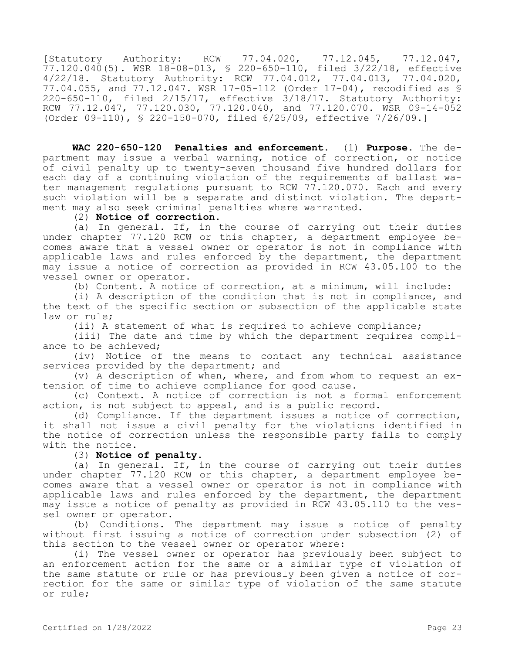[Statutory Authority: RCW 77.04.020, 77.12.045, 77.12.047, 77.120.040(5). WSR 18-08-013, § 220-650-110, filed 3/22/18, effective 4/22/18. Statutory Authority: RCW 77.04.012, 77.04.013, 77.04.020, 77.04.055, and 77.12.047. WSR 17-05-112 (Order 17-04), recodified as § 220-650-110, filed 2/15/17, effective 3/18/17. Statutory Authority: RCW 77.12.047, 77.120.030, 77.120.040, and 77.120.070. WSR 09-14-052 (Order 09-110), § 220-150-070, filed 6/25/09, effective 7/26/09.]

**WAC 220-650-120 Penalties and enforcement.** (1) **Purpose.** The department may issue a verbal warning, notice of correction, or notice of civil penalty up to twenty-seven thousand five hundred dollars for each day of a continuing violation of the requirements of ballast water management regulations pursuant to RCW  $77.120.070$ . Each and every such violation will be a separate and distinct violation. The department may also seek criminal penalties where warranted.

### (2) **Notice of correction.**

(a) In general. If, in the course of carrying out their duties under chapter 77.120 RCW or this chapter, a department employee becomes aware that a vessel owner or operator is not in compliance with applicable laws and rules enforced by the department, the department may issue a notice of correction as provided in RCW 43.05.100 to the vessel owner or operator.

(b) Content. A notice of correction, at a minimum, will include:

(i) A description of the condition that is not in compliance, and the text of the specific section or subsection of the applicable state law or rule;

(ii) A statement of what is required to achieve compliance;

(iii) The date and time by which the department requires compliance to be achieved;

(iv) Notice of the means to contact any technical assistance services provided by the department; and

(v) A description of when, where, and from whom to request an extension of time to achieve compliance for good cause.

(c) Context. A notice of correction is not a formal enforcement action, is not subject to appeal, and is a public record.

(d) Compliance. If the department issues a notice of correction, it shall not issue a civil penalty for the violations identified in the notice of correction unless the responsible party fails to comply with the notice.

# (3) **Notice of penalty.**

(a) In general. If, in the course of carrying out their duties under chapter 77.120 RCW or this chapter, a department employee becomes aware that a vessel owner or operator is not in compliance with applicable laws and rules enforced by the department, the department may issue a notice of penalty as provided in RCW 43.05.110 to the vessel owner or operator.

(b) Conditions. The department may issue a notice of penalty without first issuing a notice of correction under subsection (2) of this section to the vessel owner or operator where:

(i) The vessel owner or operator has previously been subject to an enforcement action for the same or a similar type of violation of the same statute or rule or has previously been given a notice of correction for the same or similar type of violation of the same statute or rule;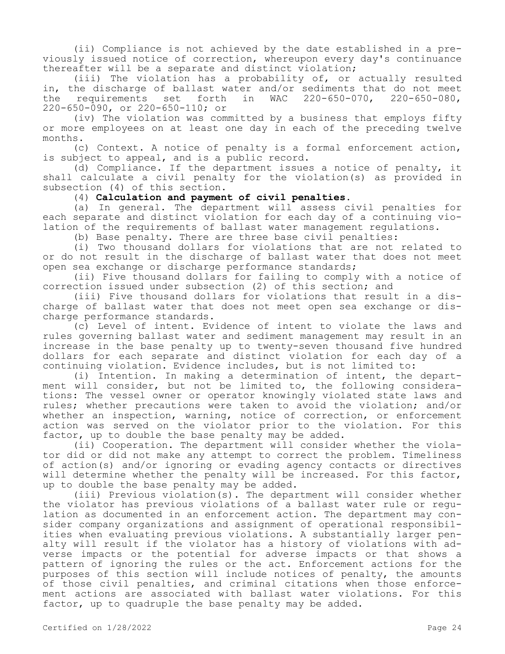(ii) Compliance is not achieved by the date established in a previously issued notice of correction, whereupon every day's continuance thereafter will be a separate and distinct violation;

(iii) The violation has a probability of, or actually resulted in, the discharge of ballast water and/or sediments that do not meet the requirements set forth in WAC 220-650-070, 220-650-080, 220-650-090, or 220-650-110; or

(iv) The violation was committed by a business that employs fifty or more employees on at least one day in each of the preceding twelve months.

(c) Context. A notice of penalty is a formal enforcement action, is subject to appeal, and is a public record.

(d) Compliance. If the department issues a notice of penalty, it shall calculate a civil penalty for the violation(s) as provided in subsection (4) of this section.

# (4) **Calculation and payment of civil penalties.**

(a) In general. The department will assess civil penalties for each separate and distinct violation for each day of a continuing violation of the requirements of ballast water management regulations.

(b) Base penalty. There are three base civil penalties:

(i) Two thousand dollars for violations that are not related to or do not result in the discharge of ballast water that does not meet open sea exchange or discharge performance standards;

(ii) Five thousand dollars for failing to comply with a notice of correction issued under subsection (2) of this section; and

(iii) Five thousand dollars for violations that result in a discharge of ballast water that does not meet open sea exchange or discharge performance standards.

(c) Level of intent. Evidence of intent to violate the laws and rules governing ballast water and sediment management may result in an increase in the base penalty up to twenty-seven thousand five hundred dollars for each separate and distinct violation for each day of a continuing violation. Evidence includes, but is not limited to:

(i) Intention. In making a determination of intent, the department will consider, but not be limited to, the following considerations: The vessel owner or operator knowingly violated state laws and rules; whether precautions were taken to avoid the violation; and/or whether an inspection, warning, notice of correction, or enforcement action was served on the violator prior to the violation. For this factor, up to double the base penalty may be added.

(ii) Cooperation. The department will consider whether the violator did or did not make any attempt to correct the problem. Timeliness of action(s) and/or ignoring or evading agency contacts or directives will determine whether the penalty will be increased. For this factor, up to double the base penalty may be added.

(iii) Previous violation(s). The department will consider whether the violator has previous violations of a ballast water rule or regulation as documented in an enforcement action. The department may consider company organizations and assignment of operational responsibilities when evaluating previous violations. A substantially larger penalty will result if the violator has a history of violations with adverse impacts or the potential for adverse impacts or that shows a pattern of ignoring the rules or the act. Enforcement actions for the purposes of this section will include notices of penalty, the amounts of those civil penalties, and criminal citations when those enforcement actions are associated with ballast water violations. For this factor, up to quadruple the base penalty may be added.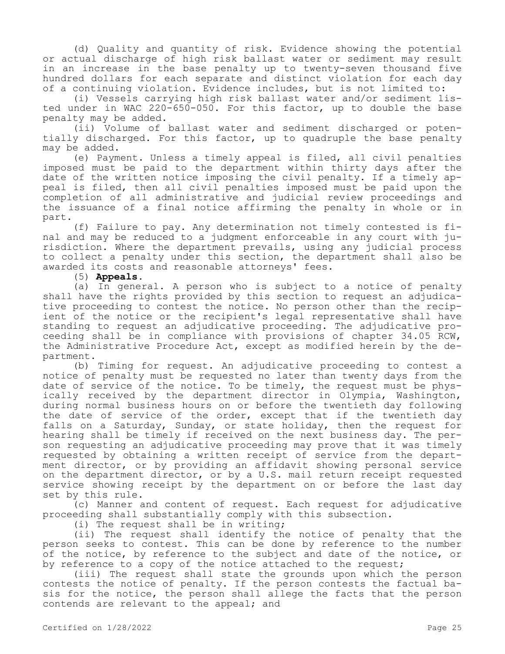(d) Quality and quantity of risk. Evidence showing the potential or actual discharge of high risk ballast water or sediment may result in an increase in the base penalty up to twenty-seven thousand five hundred dollars for each separate and distinct violation for each day of a continuing violation. Evidence includes, but is not limited to:

(i) Vessels carrying high risk ballast water and/or sediment listed under in WAC 220-650-050. For this factor, up to double the base penalty may be added.

(ii) Volume of ballast water and sediment discharged or potentially discharged. For this factor, up to quadruple the base penalty may be added.

(e) Payment. Unless a timely appeal is filed, all civil penalties imposed must be paid to the department within thirty days after the date of the written notice imposing the civil penalty. If a timely appeal is filed, then all civil penalties imposed must be paid upon the completion of all administrative and judicial review proceedings and the issuance of a final notice affirming the penalty in whole or in part.

(f) Failure to pay. Any determination not timely contested is final and may be reduced to a judgment enforceable in any court with jurisdiction. Where the department prevails, using any judicial process to collect a penalty under this section, the department shall also be awarded its costs and reasonable attorneys' fees.

(5) **Appeals.**

(a) In general. A person who is subject to a notice of penalty shall have the rights provided by this section to request an adjudicative proceeding to contest the notice. No person other than the recipient of the notice or the recipient's legal representative shall have standing to request an adjudicative proceeding. The adjudicative proceeding shall be in compliance with provisions of chapter 34.05 RCW, the Administrative Procedure Act, except as modified herein by the department.

(b) Timing for request. An adjudicative proceeding to contest a notice of penalty must be requested no later than twenty days from the date of service of the notice. To be timely, the request must be physically received by the department director in Olympia, Washington, during normal business hours on or before the twentieth day following the date of service of the order, except that if the twentieth day falls on a Saturday, Sunday, or state holiday, then the request for hearing shall be timely if received on the next business day. The person requesting an adjudicative proceeding may prove that it was timely requested by obtaining a written receipt of service from the department director, or by providing an affidavit showing personal service on the department director, or by a U.S. mail return receipt requested service showing receipt by the department on or before the last day set by this rule.

(c) Manner and content of request. Each request for adjudicative proceeding shall substantially comply with this subsection.

(i) The request shall be in writing;

(ii) The request shall identify the notice of penalty that the person seeks to contest. This can be done by reference to the number of the notice, by reference to the subject and date of the notice, or by reference to a copy of the notice attached to the request;

(iii) The request shall state the grounds upon which the person contests the notice of penalty. If the person contests the factual basis for the notice, the person shall allege the facts that the person contends are relevant to the appeal; and